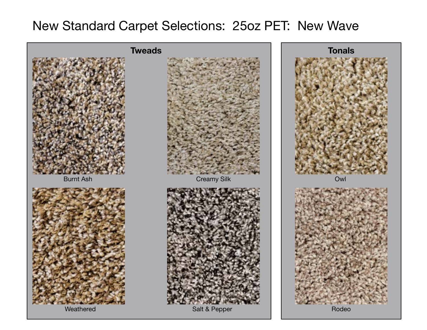## New Standard Carpet Selections: 25oz PET: New Wave

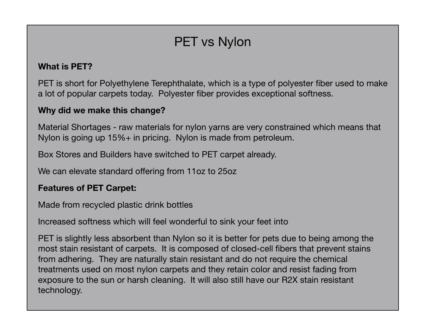# PET vs Nylon

#### **What is PET?**

PET is short for Polyethylene Terephthalate, which is a type of polyester fiber used to make a lot of popular carpets today. Polyester fiber provides exceptional softness.

#### **Why did we make this change?**

Material Shortages - raw materials for nylon yarns are very constrained which means that Nylon is going up 15%+ in pricing. Nylon is made from petroleum.

Box Stores and Builders have switched to PET carpet already.

We can elevate standard offering from 11oz to 25oz

#### **Features of PET Carpet:**

Made from recycled plastic drink bottles

Increased softness which will feel wonderful to sink your feet into

PET is slightly less absorbent than Nylon so it is better for pets due to being among the most stain resistant of carpets. It is composed of closed-cell fibers that prevent stains from adhering. They are naturally stain resistant and do not require the chemical treatments used on most nylon carpets and they retain color and resist fading from exposure to the sun or harsh cleaning. It will also still have our R2X stain resistant technology.